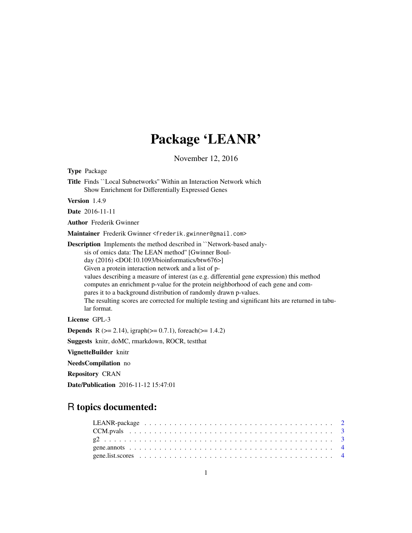# Package 'LEANR'

November 12, 2016

Type Package Title Finds ``Local Subnetworks'' Within an Interaction Network which Show Enrichment for Differentially Expressed Genes Version 1.4.9 Date 2016-11-11 Author Frederik Gwinner Maintainer Frederik Gwinner <frederik.gwinner@gmail.com> Description Implements the method described in ``Network-based analysis of omics data: The LEAN method'' [Gwinner Boulday (2016) <DOI:10.1093/bioinformatics/btw676>] Given a protein interaction network and a list of pvalues describing a measure of interest (as e.g. differential gene expression) this method computes an enrichment p-value for the protein neighborhood of each gene and compares it to a background distribution of randomly drawn p-values. The resulting scores are corrected for multiple testing and significant hits are returned in tabular format. License GPL-3 **Depends** R ( $>= 2.14$ ), igraph( $>= 0.7.1$ ), foreach( $>= 1.4.2$ ) Suggests knitr, doMC, rmarkdown, ROCR, testthat VignetteBuilder knitr NeedsCompilation no Repository CRAN Date/Publication 2016-11-12 15:47:01

# R topics documented: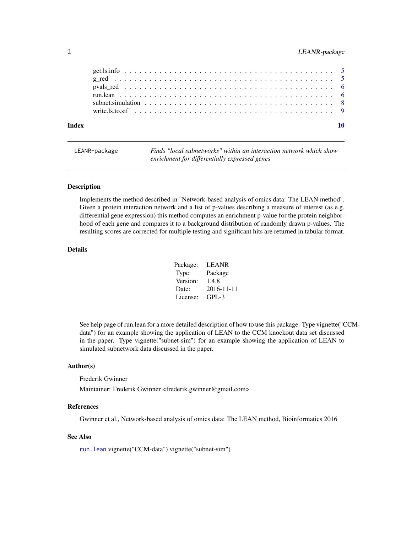# <span id="page-1-0"></span>2 LEANR-package

| Index |  |
|-------|--|
|       |  |
|       |  |
|       |  |
|       |  |
|       |  |
|       |  |

<span id="page-1-1"></span>LEANR-package *Finds "local subnetworks" within an interaction network which show enrichment for differentially expressed genes*

#### Description

Implements the method described in "Network-based analysis of omics data: The LEAN method". Given a protein interaction network and a list of p-values describing a measure of interest (as e.g. differential gene expression) this method computes an enrichment p-value for the protein neighborhood of each gene and compares it to a background distribution of randomly drawn p-values. The resulting scores are corrected for multiple testing and significant hits are returned in tabular format.

#### Details

| Package: | LEANR      |
|----------|------------|
| Type:    | Package    |
| Version: | 1.4.8      |
| Date:    | 2016-11-11 |
| License: | $GPI - 3$  |

See help page of run.lean for a more detailed description of how to use this package. Type vignette("CCMdata") for an example showing the application of LEAN to the CCM knockout data set discussed in the paper. Type vignette("subnet-sim") for an example showing the application of LEAN to simulated subnetwork data discussed in the paper.

# Author(s)

Frederik Gwinner

Maintainer: Frederik Gwinner <frederik.gwinner@gmail.com>

#### References

Gwinner et al., Network-based analysis of omics data: The LEAN method, Bioinformatics 2016

#### See Also

[run.lean](#page-5-1) vignette("CCM-data") vignette("subnet-sim")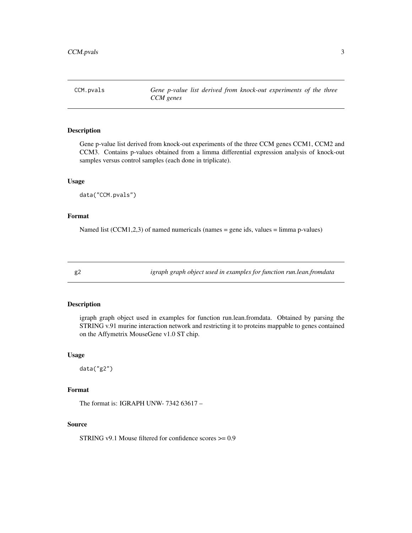<span id="page-2-0"></span>CCM.pvals *Gene p-value list derived from knock-out experiments of the three CCM genes*

# Description

Gene p-value list derived from knock-out experiments of the three CCM genes CCM1, CCM2 and CCM3. Contains p-values obtained from a limma differential expression analysis of knock-out samples versus control samples (each done in triplicate).

#### Usage

data("CCM.pvals")

# Format

Named list (CCM1,2,3) of named numericals (names = gene ids, values = limma p-values)

g2 *igraph graph object used in examples for function run.lean.fromdata*

## Description

igraph graph object used in examples for function run.lean.fromdata. Obtained by parsing the STRING v.91 murine interaction network and restricting it to proteins mappable to genes contained on the Affymetrix MouseGene v1.0 ST chip.

#### Usage

data("g2")

# Format

The format is: IGRAPH UNW- 7342 63617 –

#### Source

STRING v9.1 Mouse filtered for confidence scores >= 0.9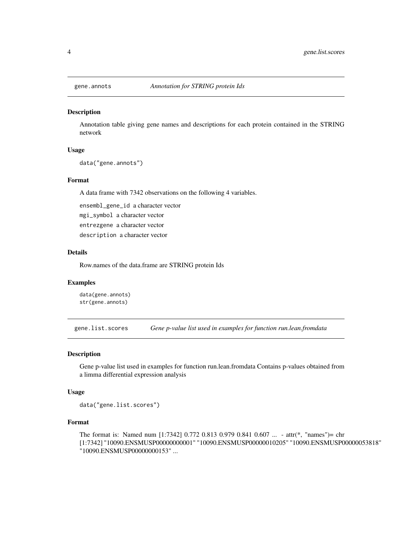<span id="page-3-0"></span>

#### Description

Annotation table giving gene names and descriptions for each protein contained in the STRING network

#### Usage

data("gene.annots")

#### Format

A data frame with 7342 observations on the following 4 variables.

ensembl\_gene\_id a character vector mgi\_symbol a character vector entrezgene a character vector

description a character vector

#### Details

Row.names of the data.frame are STRING protein Ids

#### Examples

data(gene.annots) str(gene.annots)

gene.list.scores *Gene p-value list used in examples for function run.lean.fromdata*

#### Description

Gene p-value list used in examples for function run.lean.fromdata Contains p-values obtained from a limma differential expression analysis

#### Usage

data("gene.list.scores")

#### Format

The format is: Named num [1:7342] 0.772 0.813 0.979 0.841 0.607 ... - attr(\*, "names")= chr [1:7342] "10090.ENSMUSP00000000001" "10090.ENSMUSP00000010205" "10090.ENSMUSP00000053818" "10090.ENSMUSP00000000153" ...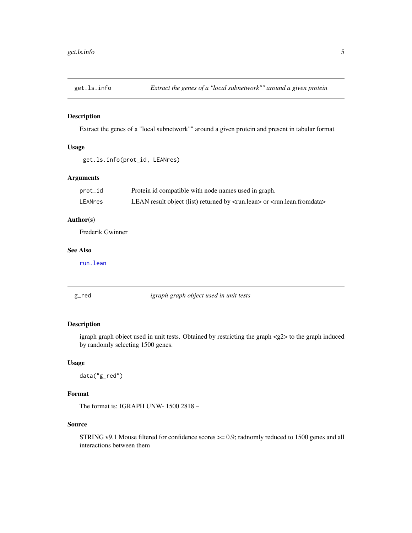<span id="page-4-0"></span>

# Description

Extract the genes of a "local subnetwork"" around a given protein and present in tabular format

#### Usage

```
get.ls.info(prot_id, LEANres)
```
# Arguments

| prot_id | Protein id compatible with node names used in graph.                                                   |
|---------|--------------------------------------------------------------------------------------------------------|
| LEANres | LEAN result object (list) returned by <run.lean> or <run.lean.fromdata></run.lean.fromdata></run.lean> |

# Author(s)

Frederik Gwinner

#### See Also

[run.lean](#page-5-1)

g\_red *igraph graph object used in unit tests*

# Description

igraph graph object used in unit tests. Obtained by restricting the graph <g2> to the graph induced by randomly selecting 1500 genes.

# Usage

data("g\_red")

### Format

The format is: IGRAPH UNW- 1500 2818 –

#### Source

STRING v9.1 Mouse filtered for confidence scores >= 0.9; radnomly reduced to 1500 genes and all interactions between them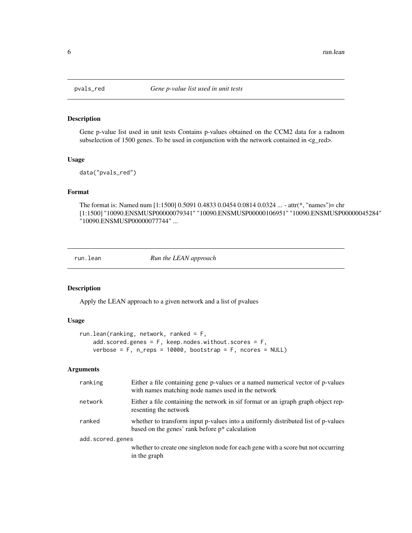<span id="page-5-0"></span>

# Description

Gene p-value list used in unit tests Contains p-values obtained on the CCM2 data for a radnom subselection of 1500 genes. To be used in conjunction with the network contained in  $\langle g_{\perp}$ red $\rangle$ .

# Usage

data("pvals\_red")

# Format

The format is: Named num [1:1500] 0.5091 0.4833 0.0454 0.0814 0.0324 ... - attr(\*, "names")= chr [1:1500] "10090.ENSMUSP00000079341" "10090.ENSMUSP00000106951" "10090.ENSMUSP00000045284" "10090.ENSMUSP00000077744" ...

<span id="page-5-1"></span>run.lean *Run the LEAN approach*

# Description

Apply the LEAN approach to a given network and a list of pvalues

#### Usage

```
run.lean(ranking, network, ranked = F,
   add.scored.genes = F, keep.nodes.without.scores = F,
   verbose = F, n_reps = 10000, bootstrap = F, ncores = NULL)
```
#### Arguments

| ranking          | Either a file containing gene p-values or a named numerical vector of p-values<br>with names matching node names used in the network   |  |  |  |  |
|------------------|----------------------------------------------------------------------------------------------------------------------------------------|--|--|--|--|
| network          | Either a file containing the network in sif format or an igraph graph object rep-<br>resenting the network                             |  |  |  |  |
| ranked           | whether to transform input p-values into a uniformly distributed list of p-values<br>based on the genes' rank before $p^*$ calculation |  |  |  |  |
| add.scored.genes |                                                                                                                                        |  |  |  |  |
|                  | whether to create one singleton node for each gene with a score but not occurring<br>in the graph                                      |  |  |  |  |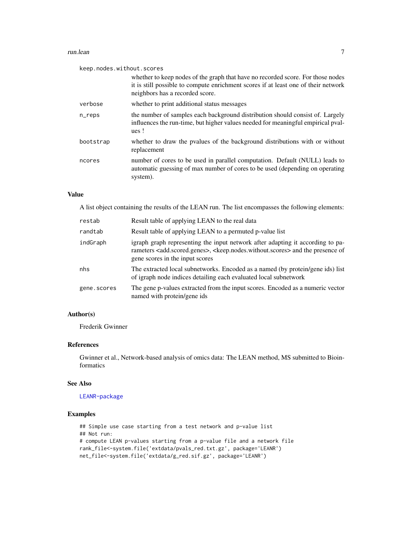#### run.lean 7

| keep.nodes.without.scores                                                                                                                                                                                |
|----------------------------------------------------------------------------------------------------------------------------------------------------------------------------------------------------------|
| whether to keep nodes of the graph that have no recorded score. For those nodes<br>it is still possible to compute enrichment scores if at least one of their network<br>neighbors has a recorded score. |
| whether to print additional status messages                                                                                                                                                              |
| the number of samples each background distribution should consist of. Largely<br>influences the run-time, but higher values needed for meaningful empirical pval-<br>ues!                                |
| whether to draw the pyalues of the background distributions with or without<br>replacement                                                                                                               |
| number of cores to be used in parallel computation. Default (NULL) leads to<br>automatic guessing of max number of cores to be used (depending on operating<br>system).                                  |
|                                                                                                                                                                                                          |

# Value

A list object containing the results of the LEAN run. The list encompasses the following elements:

| restab      | Result table of applying LEAN to the real data                                                                                                                                                                                                    |
|-------------|---------------------------------------------------------------------------------------------------------------------------------------------------------------------------------------------------------------------------------------------------|
| randtab     | Result table of applying LEAN to a permuted p-value list                                                                                                                                                                                          |
| indGraph    | igraph graph representing the input network after adapting it according to pa-<br>rameters <add.scored.genes>, <keep.nodes.without.scores> and the presence of<br/>gene scores in the input scores</keep.nodes.without.scores></add.scored.genes> |
| nhs         | The extracted local subnetworks. Encoded as a named (by protein/gene ids) list<br>of igraph node indices detailing each evaluated local subnetwork                                                                                                |
| gene.scores | The gene p-values extracted from the input scores. Encoded as a numeric vector<br>named with protein/gene ids                                                                                                                                     |

# Author(s)

Frederik Gwinner

### References

Gwinner et al., Network-based analysis of omics data: The LEAN method, MS submitted to Bioinformatics

# See Also

#### [LEANR-package](#page-1-1)

# Examples

```
## Simple use case starting from a test network and p-value list
## Not run:
# compute LEAN p-values starting from a p-value file and a network file
rank_file<-system.file('extdata/pvals_red.txt.gz', package='LEANR')
net_file<-system.file('extdata/g_red.sif.gz', package='LEANR')
```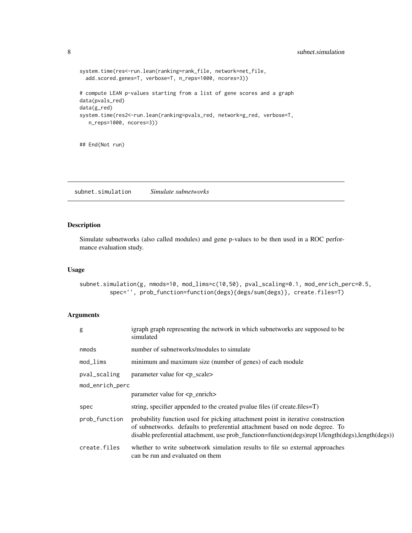```
system.time(res<-run.lean(ranking=rank_file, network=net_file,
 add.scored.genes=T, verbose=T, n_reps=1000, ncores=3))
# compute LEAN p-values starting from a list of gene scores and a graph
data(pvals_red)
data(g_red)
system.time(res2<-run.lean(ranking=pvals_red, network=g_red, verbose=T,
  n_reps=1000, ncores=3))
```
## End(Not run)

subnet.simulation *Simulate subnetworks*

# Description

Simulate subnetworks (also called modules) and gene p-values to be then used in a ROC performance evaluation study.

# Usage

```
subnet.simulation(g, nmods=10, mod_lims=c(10,50), pval_scaling=0.1, mod_enrich_perc=0.5,
        spec='', prob_function=function(degs){degs/sum(degs)}, create.files=T)
```
# Arguments

| g               | igraph graph representing the network in which subnetworks are supposed to be<br>simulated                                                                                                                                                                            |  |  |  |  |
|-----------------|-----------------------------------------------------------------------------------------------------------------------------------------------------------------------------------------------------------------------------------------------------------------------|--|--|--|--|
| nmods           | number of subnetworks/modules to simulate                                                                                                                                                                                                                             |  |  |  |  |
| $mod$ lims      | minimum and maximum size (number of genes) of each module                                                                                                                                                                                                             |  |  |  |  |
| pval_scaling    | parameter value for <p_scale></p_scale>                                                                                                                                                                                                                               |  |  |  |  |
| mod_enrich_perc |                                                                                                                                                                                                                                                                       |  |  |  |  |
|                 | parameter value for $\langle p$ enrich                                                                                                                                                                                                                                |  |  |  |  |
| spec            | string, specifier appended to the created pvalue files (if create.files=T)                                                                                                                                                                                            |  |  |  |  |
| prob_function   | probability function used for picking attachment point in iterative construction<br>of subnetworks. defaults to preferential attachment based on node degree. To<br>disable preferential attachment, use prob_function=function(degs)rep(1/length(degs),length(degs)) |  |  |  |  |
| create.files    | whether to write subnetwork simulation results to file so external approaches<br>can be run and evaluated on them                                                                                                                                                     |  |  |  |  |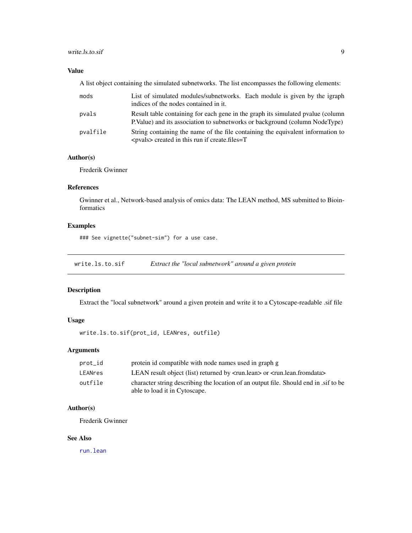#### <span id="page-8-0"></span>write.ls.to.sif 9

# Value

A list object containing the simulated subnetworks. The list encompasses the following elements:

| mods     | List of simulated modules/subnetworks. Each module is given by the igraph<br>indices of the nodes contained in it.                                              |
|----------|-----------------------------------------------------------------------------------------------------------------------------------------------------------------|
| pvals    | Result table containing for each gene in the graph its simulated pyalue (column<br>P. Value) and its association to subnetworks or background (column NodeType) |
| pvalfile | String containing the name of the file containing the equivalent information to<br>$<$ pvals $>$ created in this run if create. files $=$ T                     |

# Author(s)

Frederik Gwinner

# References

Gwinner et al., Network-based analysis of omics data: The LEAN method, MS submitted to Bioinformatics

# Examples

### See vignette("subnet-sim") for a use case.

write.ls.to.sif *Extract the "local subnetwork" around a given protein*

#### Description

Extract the "local subnetwork" around a given protein and write it to a Cytoscape-readable .sif file

# Usage

write.ls.to.sif(prot\_id, LEANres, outfile)

# Arguments

| prot_id | protein id compatible with node names used in graph g                                                                        |
|---------|------------------------------------------------------------------------------------------------------------------------------|
| LEANres | LEAN result object (list) returned by $\langle \text{run} \rangle$ or $\langle \text{run} \rangle$ lean. from data $\rangle$ |
| outfile | character string describing the location of an output file. Should end in sif to be<br>able to load it in Cytoscape.         |

# Author(s)

Frederik Gwinner

#### See Also

[run.lean](#page-5-1)